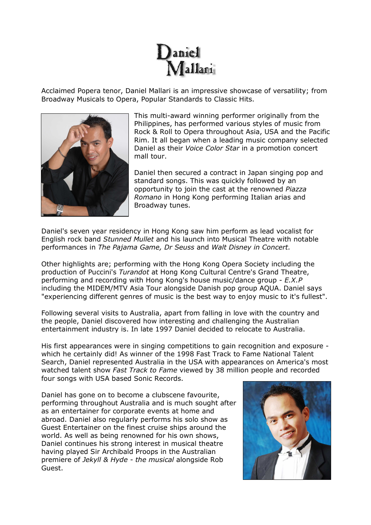Acclaimed Popera tenor, Daniel Mallari is an impressive showcase of versatility; from Broadway Musicals to Opera, Popular Standards to Classic Hits.



This multi-award winning performer originally from the Philippines, has performed various styles of music from Rock & Roll to Opera throughout Asia, USA and the Pacific Rim. It all began when a leading music company selected Daniel as their *Voice Color Star* in a promotion concert mall tour.

Daniel then secured a contract in Japan singing pop and standard songs. This was quickly followed by an opportunity to join the cast at the renowned *Piazza Romano* in Hong Kong performing Italian arias and Broadway tunes.

Daniel's seven year residency in Hong Kong saw him perform as lead vocalist for English rock band *Stunned Mullet* and his launch into Musical Theatre with notable performances in *The Pajama Game, Dr Seuss* and *Walt Disney in Concert.*

Other highlights are; performing with the Hong Kong Opera Society including the production of Puccini's *Turandot* at Hong Kong Cultural Centre's Grand Theatre, performing and recording with Hong Kong's house music/dance group - *E.X.P*  including the MIDEM/MTV Asia Tour alongside Danish pop group AQUA. Daniel says "experiencing different genres of music is the best way to enjoy music to it's fullest".

Following several visits to Australia, apart from falling in love with the country and the people, Daniel discovered how interesting and challenging the Australian entertainment industry is. In late 1997 Daniel decided to relocate to Australia.

His first appearances were in singing competitions to gain recognition and exposure which he certainly did! As winner of the 1998 Fast Track to Fame National Talent Search, Daniel represented Australia in the USA with appearances on America's most watched talent show *Fast Track to Fame* viewed by 38 million people and recorded four songs with USA based Sonic Records.

Daniel has gone on to become a clubscene favourite, performing throughout Australia and is much sought after as an entertainer for corporate events at home and abroad. Daniel also regularly performs his solo show as Guest Entertainer on the finest cruise ships around the world. As well as being renowned for his own shows, Daniel continues his strong interest in musical theatre having played Sir Archibald Proops in the Australian premiere of *Jekyll & Hyde - the musical* alongside Rob Guest.